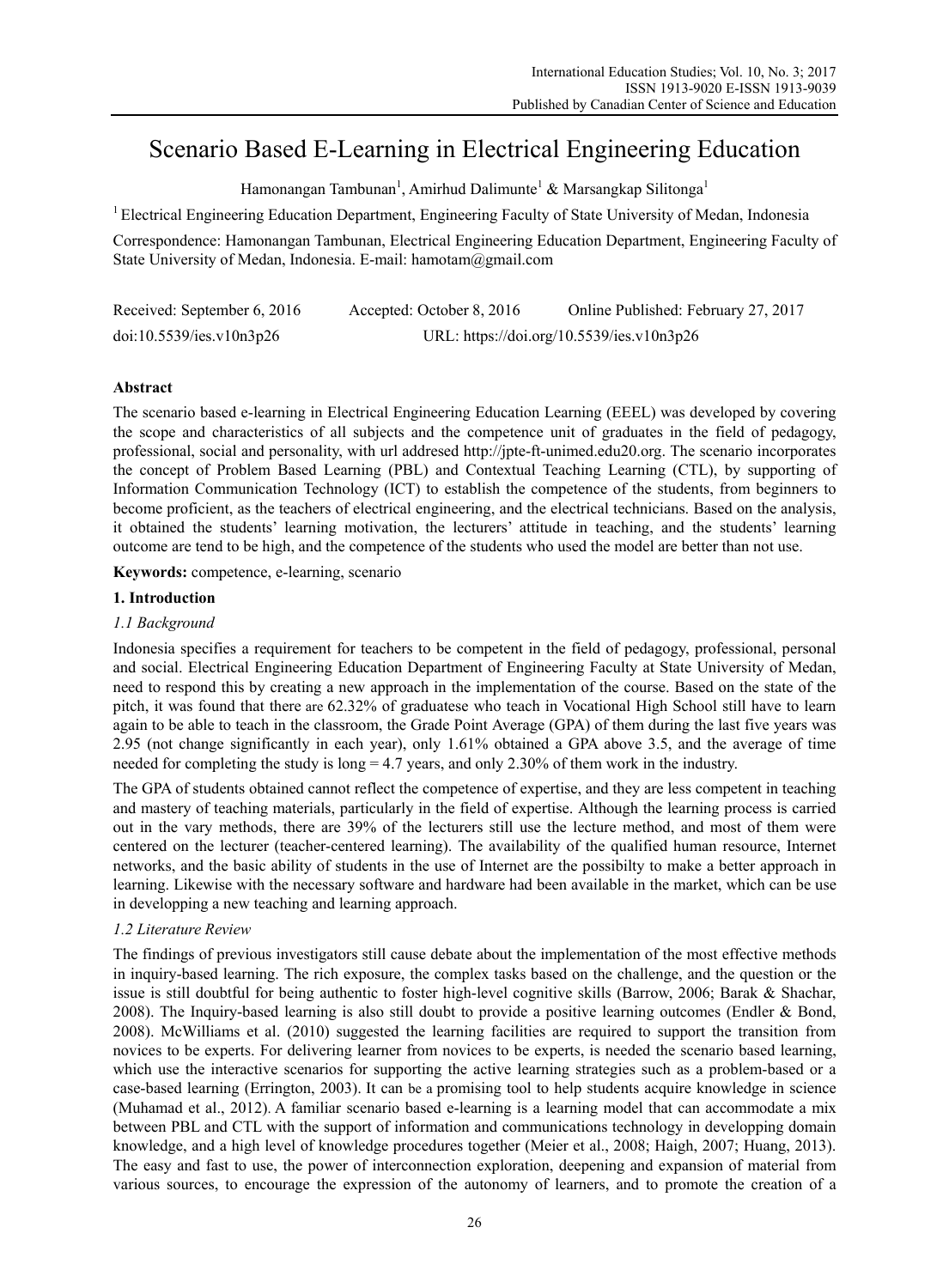# Scenario Based E-Learning in Electrical Engineering Education

Hamonangan Tambunan<sup>1</sup>, Amirhud Dalimunte<sup>1</sup> & Marsangkap Silitonga<sup>1</sup>

<sup>1</sup> Electrical Engineering Education Department, Engineering Faculty of State University of Medan, Indonesia

Correspondence: Hamonangan Tambunan, Electrical Engineering Education Department, Engineering Faculty of State University of Medan, Indonesia. E-mail: hamotam@gmail.com

| Received: September 6, 2016 | Accepted: October 8, 2016                 | Online Published: February 27, 2017 |
|-----------------------------|-------------------------------------------|-------------------------------------|
| doi:10.5539/ies.v10n3p26    | URL: https://doi.org/10.5539/ies.v10n3p26 |                                     |

# **Abstract**

The scenario based e-learning in Electrical Engineering Education Learning (EEEL) was developed by covering the scope and characteristics of all subjects and the competence unit of graduates in the field of pedagogy, professional, social and personality, with url addresed http://jpte-ft-unimed.edu20.org. The scenario incorporates the concept of Problem Based Learning (PBL) and Contextual Teaching Learning (CTL), by supporting of Information Communication Technology (ICT) to establish the competence of the students, from beginners to become proficient, as the teachers of electrical engineering, and the electrical technicians. Based on the analysis, it obtained the students' learning motivation, the lecturers' attitude in teaching, and the students' learning outcome are tend to be high, and the competence of the students who used the model are better than not use.

**Keywords:** competence, e-learning, scenario

# **1. Introduction**

# *1.1 Background*

Indonesia specifies a requirement for teachers to be competent in the field of pedagogy, professional, personal and social. Electrical Engineering Education Department of Engineering Faculty at State University of Medan, need to respond this by creating a new approach in the implementation of the course. Based on the state of the pitch, it was found that there are 62.32% of graduatese who teach in Vocational High School still have to learn again to be able to teach in the classroom, the Grade Point Average (GPA) of them during the last five years was 2.95 (not change significantly in each year), only 1.61% obtained a GPA above 3.5, and the average of time needed for completing the study is long = 4.7 years, and only 2.30% of them work in the industry.

The GPA of students obtained cannot reflect the competence of expertise, and they are less competent in teaching and mastery of teaching materials, particularly in the field of expertise. Although the learning process is carried out in the vary methods, there are 39% of the lecturers still use the lecture method, and most of them were centered on the lecturer (teacher-centered learning). The availability of the qualified human resource, Internet networks, and the basic ability of students in the use of Internet are the possibilty to make a better approach in learning. Likewise with the necessary software and hardware had been available in the market, which can be use in developping a new teaching and learning approach.

#### *1.2 Literature Review*

The findings of previous investigators still cause debate about the implementation of the most effective methods in inquiry-based learning. The rich exposure, the complex tasks based on the challenge, and the question or the issue is still doubtful for being authentic to foster high-level cognitive skills (Barrow, 2006; Barak & Shachar, 2008). The Inquiry-based learning is also still doubt to provide a positive learning outcomes (Endler & Bond, 2008). McWilliams et al. (2010) suggested the learning facilities are required to support the transition from novices to be experts. For delivering learner from novices to be experts, is needed the scenario based learning, which use the interactive scenarios for supporting the active learning strategies such as a problem-based or a case-based learning (Errington, 2003). It can be a promising tool to help students acquire knowledge in science (Muhamad et al., 2012). A familiar scenario based e-learning is a learning model that can accommodate a mix between PBL and CTL with the support of information and communications technology in developping domain knowledge, and a high level of knowledge procedures together (Meier et al., 2008; Haigh, 2007; Huang, 2013). The easy and fast to use, the power of interconnection exploration, deepening and expansion of material from various sources, to encourage the expression of the autonomy of learners, and to promote the creation of a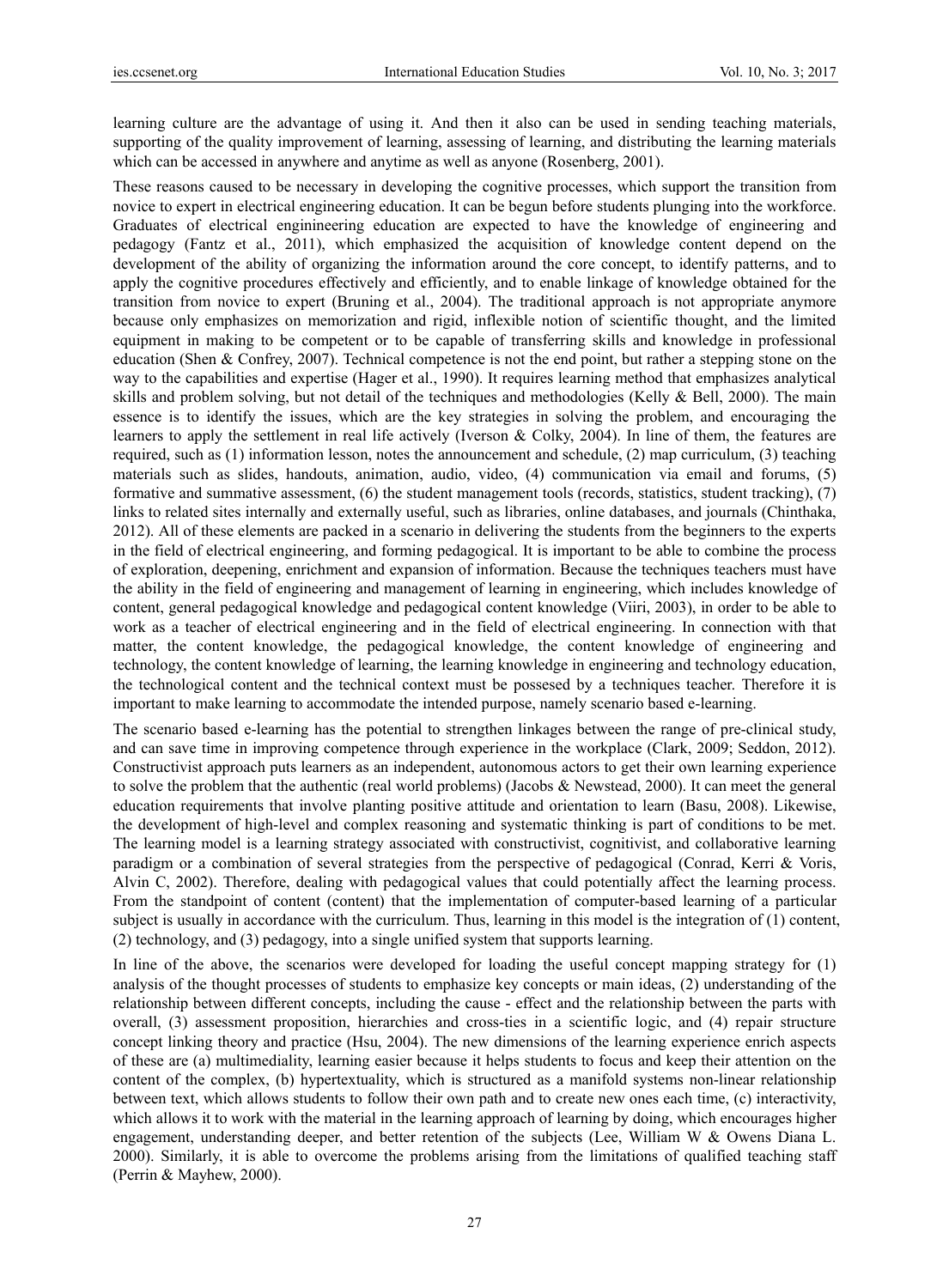learning culture are the advantage of using it. And then it also can be used in sending teaching materials, supporting of the quality improvement of learning, assessing of learning, and distributing the learning materials which can be accessed in anywhere and anytime as well as anyone (Rosenberg, 2001).

These reasons caused to be necessary in developing the cognitive processes, which support the transition from novice to expert in electrical engineering education. It can be begun before students plunging into the workforce. Graduates of electrical enginineering education are expected to have the knowledge of engineering and pedagogy (Fantz et al., 2011), which emphasized the acquisition of knowledge content depend on the development of the ability of organizing the information around the core concept, to identify patterns, and to apply the cognitive procedures effectively and efficiently, and to enable linkage of knowledge obtained for the transition from novice to expert (Bruning et al., 2004). The traditional approach is not appropriate anymore because only emphasizes on memorization and rigid, inflexible notion of scientific thought, and the limited equipment in making to be competent or to be capable of transferring skills and knowledge in professional education (Shen & Confrey, 2007). Technical competence is not the end point, but rather a stepping stone on the way to the capabilities and expertise (Hager et al., 1990). It requires learning method that emphasizes analytical skills and problem solving, but not detail of the techniques and methodologies (Kelly & Bell, 2000). The main essence is to identify the issues, which are the key strategies in solving the problem, and encouraging the learners to apply the settlement in real life actively (Iverson & Colky, 2004). In line of them, the features are required, such as (1) information lesson, notes the announcement and schedule, (2) map curriculum, (3) teaching materials such as slides, handouts, animation, audio, video, (4) communication via email and forums, (5) formative and summative assessment, (6) the student management tools (records, statistics, student tracking), (7) links to related sites internally and externally useful, such as libraries, online databases, and journals (Chinthaka, 2012). All of these elements are packed in a scenario in delivering the students from the beginners to the experts in the field of electrical engineering, and forming pedagogical. It is important to be able to combine the process of exploration, deepening, enrichment and expansion of information. Because the techniques teachers must have the ability in the field of engineering and management of learning in engineering, which includes knowledge of content, general pedagogical knowledge and pedagogical content knowledge (Viiri, 2003), in order to be able to work as a teacher of electrical engineering and in the field of electrical engineering. In connection with that matter, the content knowledge, the pedagogical knowledge, the content knowledge of engineering and technology, the content knowledge of learning, the learning knowledge in engineering and technology education, the technological content and the technical context must be possesed by a techniques teacher. Therefore it is important to make learning to accommodate the intended purpose, namely scenario based e-learning.

The scenario based e-learning has the potential to strengthen linkages between the range of pre-clinical study, and can save time in improving competence through experience in the workplace (Clark, 2009; Seddon, 2012). Constructivist approach puts learners as an independent, autonomous actors to get their own learning experience to solve the problem that the authentic (real world problems) (Jacobs & Newstead, 2000). It can meet the general education requirements that involve planting positive attitude and orientation to learn (Basu, 2008). Likewise, the development of high-level and complex reasoning and systematic thinking is part of conditions to be met. The learning model is a learning strategy associated with constructivist, cognitivist, and collaborative learning paradigm or a combination of several strategies from the perspective of pedagogical (Conrad, Kerri & Voris, Alvin C, 2002). Therefore, dealing with pedagogical values that could potentially affect the learning process. From the standpoint of content (content) that the implementation of computer-based learning of a particular subject is usually in accordance with the curriculum. Thus, learning in this model is the integration of (1) content, (2) technology, and (3) pedagogy, into a single unified system that supports learning.

In line of the above, the scenarios were developed for loading the useful concept mapping strategy for (1) analysis of the thought processes of students to emphasize key concepts or main ideas, (2) understanding of the relationship between different concepts, including the cause - effect and the relationship between the parts with overall, (3) assessment proposition, hierarchies and cross-ties in a scientific logic, and (4) repair structure concept linking theory and practice (Hsu, 2004). The new dimensions of the learning experience enrich aspects of these are (a) multimediality, learning easier because it helps students to focus and keep their attention on the content of the complex, (b) hypertextuality, which is structured as a manifold systems non-linear relationship between text, which allows students to follow their own path and to create new ones each time, (c) interactivity, which allows it to work with the material in the learning approach of learning by doing, which encourages higher engagement, understanding deeper, and better retention of the subjects (Lee, William W & Owens Diana L. 2000). Similarly, it is able to overcome the problems arising from the limitations of qualified teaching staff (Perrin & Mayhew, 2000).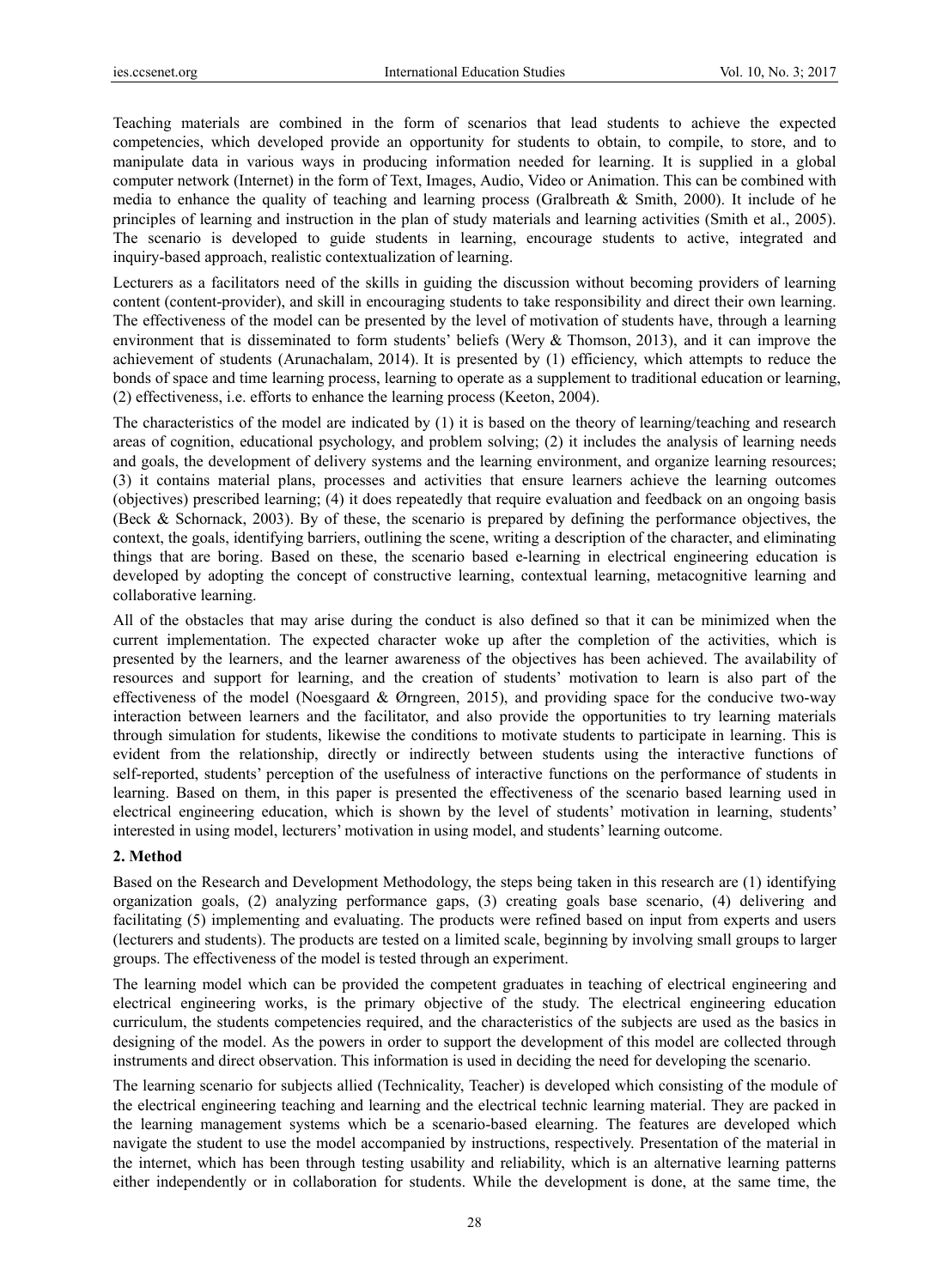Teaching materials are combined in the form of scenarios that lead students to achieve the expected competencies, which developed provide an opportunity for students to obtain, to compile, to store, and to manipulate data in various ways in producing information needed for learning. It is supplied in a global computer network (Internet) in the form of Text, Images, Audio, Video or Animation. This can be combined with media to enhance the quality of teaching and learning process (Gralbreath & Smith, 2000). It include of he principles of learning and instruction in the plan of study materials and learning activities (Smith et al., 2005). The scenario is developed to guide students in learning, encourage students to active, integrated and inquiry-based approach, realistic contextualization of learning.

Lecturers as a facilitators need of the skills in guiding the discussion without becoming providers of learning content (content-provider), and skill in encouraging students to take responsibility and direct their own learning. The effectiveness of the model can be presented by the level of motivation of students have, through a learning environment that is disseminated to form students' beliefs (Wery & Thomson, 2013), and it can improve the achievement of students (Arunachalam, 2014). It is presented by (1) efficiency, which attempts to reduce the bonds of space and time learning process, learning to operate as a supplement to traditional education or learning, (2) effectiveness, i.e. efforts to enhance the learning process (Keeton, 2004).

The characteristics of the model are indicated by (1) it is based on the theory of learning/teaching and research areas of cognition, educational psychology, and problem solving; (2) it includes the analysis of learning needs and goals, the development of delivery systems and the learning environment, and organize learning resources; (3) it contains material plans, processes and activities that ensure learners achieve the learning outcomes (objectives) prescribed learning; (4) it does repeatedly that require evaluation and feedback on an ongoing basis (Beck & Schornack, 2003). By of these, the scenario is prepared by defining the performance objectives, the context, the goals, identifying barriers, outlining the scene, writing a description of the character, and eliminating things that are boring. Based on these, the scenario based e-learning in electrical engineering education is developed by adopting the concept of constructive learning, contextual learning, metacognitive learning and collaborative learning.

All of the obstacles that may arise during the conduct is also defined so that it can be minimized when the current implementation. The expected character woke up after the completion of the activities, which is presented by the learners, and the learner awareness of the objectives has been achieved. The availability of resources and support for learning, and the creation of students' motivation to learn is also part of the effectiveness of the model (Noesgaard & Ørngreen, 2015), and providing space for the conducive two-way interaction between learners and the facilitator, and also provide the opportunities to try learning materials through simulation for students, likewise the conditions to motivate students to participate in learning. This is evident from the relationship, directly or indirectly between students using the interactive functions of self-reported, students' perception of the usefulness of interactive functions on the performance of students in learning. Based on them, in this paper is presented the effectiveness of the scenario based learning used in electrical engineering education, which is shown by the level of students' motivation in learning, students' interested in using model, lecturers' motivation in using model, and students' learning outcome.

#### **2. Method**

Based on the Research and Development Methodology, the steps being taken in this research are (1) identifying organization goals, (2) analyzing performance gaps, (3) creating goals base scenario, (4) delivering and facilitating (5) implementing and evaluating. The products were refined based on input from experts and users (lecturers and students). The products are tested on a limited scale, beginning by involving small groups to larger groups. The effectiveness of the model is tested through an experiment.

The learning model which can be provided the competent graduates in teaching of electrical engineering and electrical engineering works, is the primary objective of the study. The electrical engineering education curriculum, the students competencies required, and the characteristics of the subjects are used as the basics in designing of the model. As the powers in order to support the development of this model are collected through instruments and direct observation. This information is used in deciding the need for developing the scenario.

The learning scenario for subjects allied (Technicality, Teacher) is developed which consisting of the module of the electrical engineering teaching and learning and the electrical technic learning material. They are packed in the learning management systems which be a scenario-based elearning. The features are developed which navigate the student to use the model accompanied by instructions, respectively. Presentation of the material in the internet, which has been through testing usability and reliability, which is an alternative learning patterns either independently or in collaboration for students. While the development is done, at the same time, the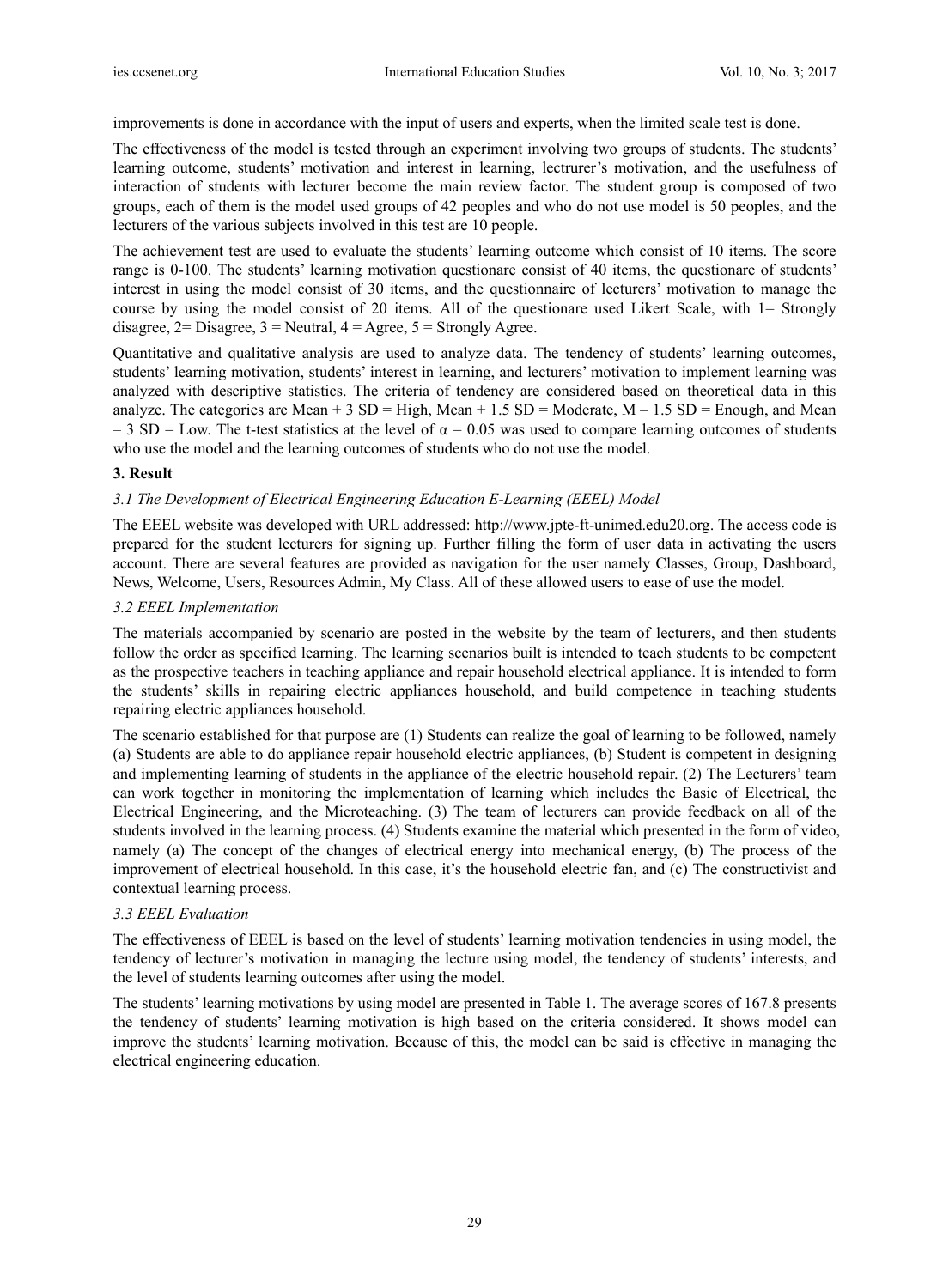improvements is done in accordance with the input of users and experts, when the limited scale test is done.

The effectiveness of the model is tested through an experiment involving two groups of students. The students' learning outcome, students' motivation and interest in learning, lectrurer's motivation, and the usefulness of interaction of students with lecturer become the main review factor. The student group is composed of two groups, each of them is the model used groups of 42 peoples and who do not use model is 50 peoples, and the lecturers of the various subjects involved in this test are 10 people.

The achievement test are used to evaluate the students' learning outcome which consist of 10 items. The score range is 0-100. The students' learning motivation questionare consist of 40 items, the questionare of students' interest in using the model consist of 30 items, and the questionnaire of lecturers' motivation to manage the course by using the model consist of 20 items. All of the questionare used Likert Scale, with 1= Strongly disagree,  $2=$  Disagree,  $3=$  Neutral,  $4=$  Agree,  $5=$  Strongly Agree.

Quantitative and qualitative analysis are used to analyze data. The tendency of students' learning outcomes, students' learning motivation, students' interest in learning, and lecturers' motivation to implement learning was analyzed with descriptive statistics. The criteria of tendency are considered based on theoretical data in this analyze. The categories are Mean + 3  $SD =$  High, Mean + 1.5  $SD =$  Moderate, M – 1.5  $SD =$  Enough, and Mean  $-3$  SD = Low. The t-test statistics at the level of  $\alpha$  = 0.05 was used to compare learning outcomes of students who use the model and the learning outcomes of students who do not use the model.

# **3. Result**

#### *3.1 The Development of Electrical Engineering Education E-Learning (EEEL) Model*

The EEEL website was developed with URL addressed: http://www.jpte-ft-unimed.edu20.org. The access code is prepared for the student lecturers for signing up. Further filling the form of user data in activating the users account. There are several features are provided as navigation for the user namely Classes, Group, Dashboard, News, Welcome, Users, Resources Admin, My Class. All of these allowed users to ease of use the model.

#### *3.2 EEEL Implementation*

The materials accompanied by scenario are posted in the website by the team of lecturers, and then students follow the order as specified learning. The learning scenarios built is intended to teach students to be competent as the prospective teachers in teaching appliance and repair household electrical appliance. It is intended to form the students' skills in repairing electric appliances household, and build competence in teaching students repairing electric appliances household.

The scenario established for that purpose are (1) Students can realize the goal of learning to be followed, namely (a) Students are able to do appliance repair household electric appliances, (b) Student is competent in designing and implementing learning of students in the appliance of the electric household repair. (2) The Lecturers' team can work together in monitoring the implementation of learning which includes the Basic of Electrical, the Electrical Engineering, and the Microteaching. (3) The team of lecturers can provide feedback on all of the students involved in the learning process. (4) Students examine the material which presented in the form of video, namely (a) The concept of the changes of electrical energy into mechanical energy, (b) The process of the improvement of electrical household. In this case, it's the household electric fan, and (c) The constructivist and contextual learning process.

# *3.3 EEEL Evaluation*

The effectiveness of EEEL is based on the level of students' learning motivation tendencies in using model, the tendency of lecturer's motivation in managing the lecture using model, the tendency of students' interests, and the level of students learning outcomes after using the model.

The students' learning motivations by using model are presented in Table 1. The average scores of 167.8 presents the tendency of students' learning motivation is high based on the criteria considered. It shows model can improve the students' learning motivation. Because of this, the model can be said is effective in managing the electrical engineering education.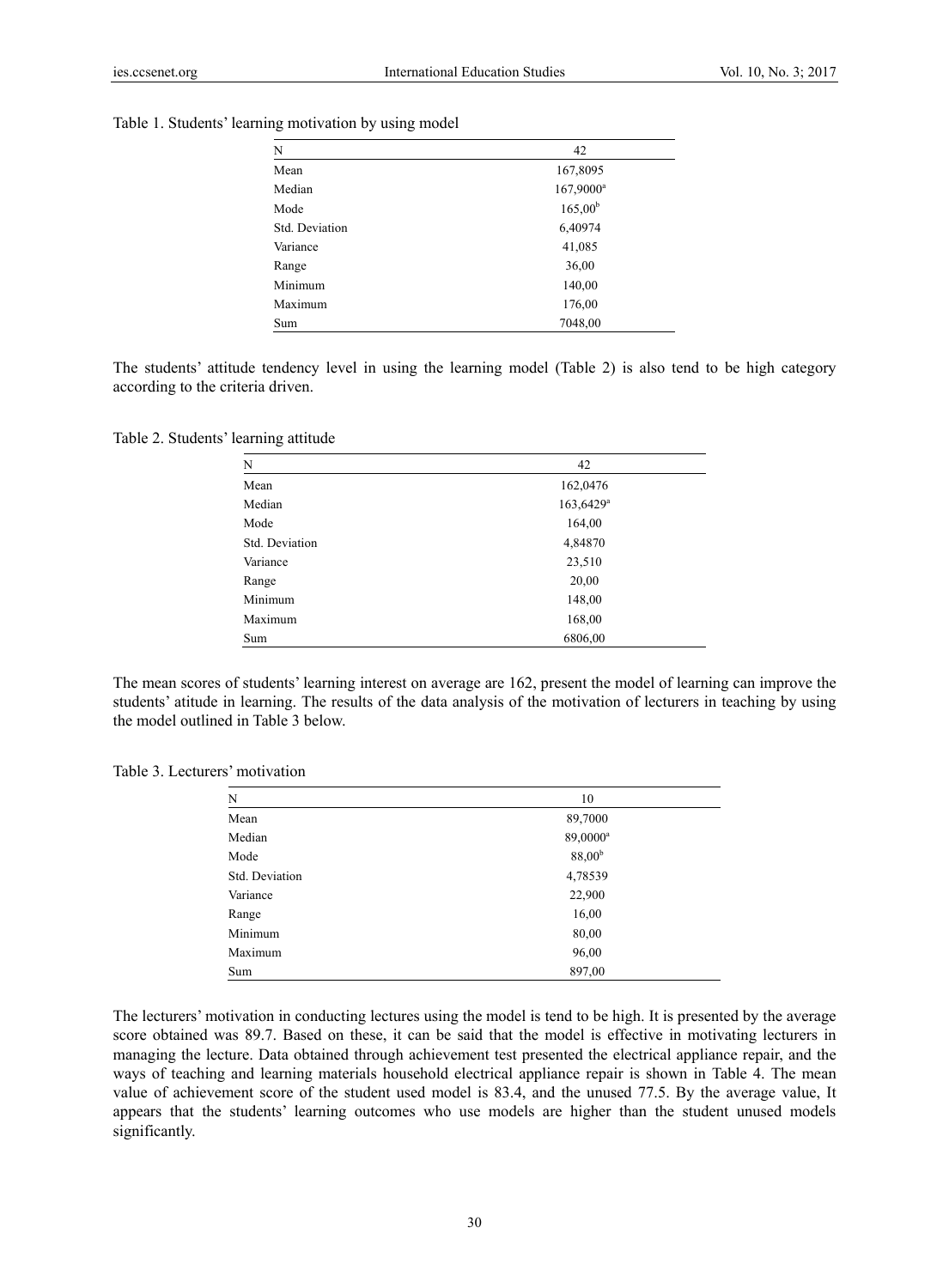# Table 1. Students' learning motivation by using model

| N              | 42           |  |  |  |
|----------------|--------------|--|--|--|
| Mean           | 167,8095     |  |  |  |
| Median         | $167,9000^a$ |  |  |  |
| Mode           | $165,00^{b}$ |  |  |  |
| Std. Deviation | 6,40974      |  |  |  |
| Variance       | 41,085       |  |  |  |
| Range          | 36,00        |  |  |  |
| Minimum        | 140,00       |  |  |  |
| Maximum        | 176,00       |  |  |  |
| Sum            | 7048,00      |  |  |  |

The students' attitude tendency level in using the learning model (Table 2) is also tend to be high category according to the criteria driven.

Table 2. Students' learning attitude

| N              | 42                    |
|----------------|-----------------------|
| Mean           | 162,0476              |
| Median         | 163,6429 <sup>a</sup> |
| Mode           | 164,00                |
| Std. Deviation | 4,84870               |
| Variance       | 23,510                |
| Range          | 20,00                 |
| Minimum        | 148,00                |
| Maximum        | 168,00                |
| Sum            | 6806,00               |

The mean scores of students' learning interest on average are 162, present the model of learning can improve the students' atitude in learning. The results of the data analysis of the motivation of lecturers in teaching by using the model outlined in Table 3 below.

Table 3. Lecturers' motivation

| N              | 10                   |
|----------------|----------------------|
| Mean           | 89,7000              |
| Median         | 89,0000 <sup>a</sup> |
| Mode           | $88,00^{b}$          |
| Std. Deviation | 4,78539              |
| Variance       | 22,900               |
| Range          | 16,00                |
| Minimum        | 80,00                |
| Maximum        | 96,00                |
| Sum            | 897,00               |

The lecturers' motivation in conducting lectures using the model is tend to be high. It is presented by the average score obtained was 89.7. Based on these, it can be said that the model is effective in motivating lecturers in managing the lecture. Data obtained through achievement test presented the electrical appliance repair, and the ways of teaching and learning materials household electrical appliance repair is shown in Table 4. The mean value of achievement score of the student used model is 83.4, and the unused 77.5. By the average value, It appears that the students' learning outcomes who use models are higher than the student unused models significantly.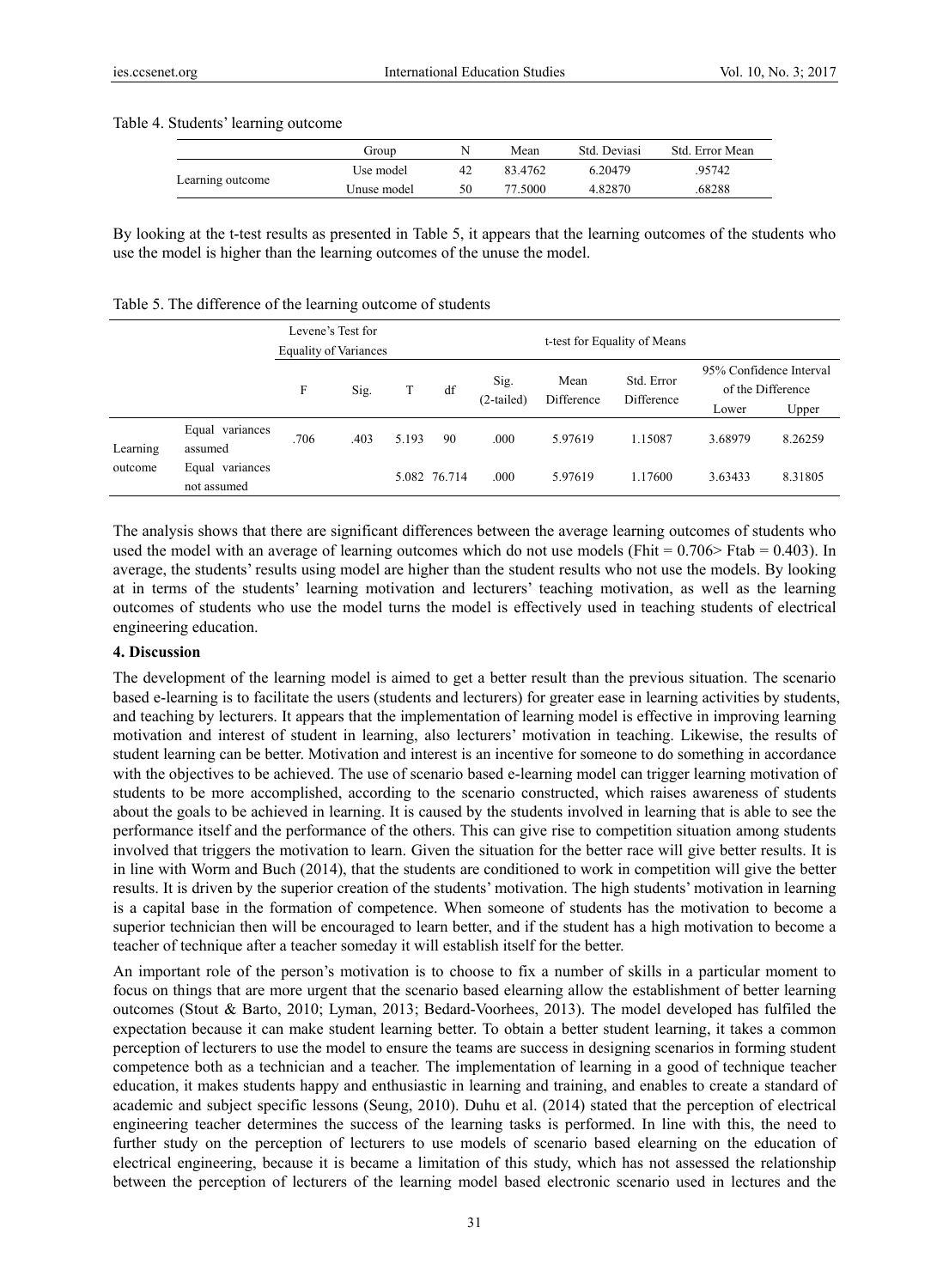Table 4. Students' learning outcome

|                  | Group       |    | Mean    | Std. Deviasi | Std. Error Mean |
|------------------|-------------|----|---------|--------------|-----------------|
|                  | Use model   | 42 | 83.4762 | 6.20479      | 95742           |
| Learning outcome | Unuse model | 50 | 77.5000 | 4.82870      | .68288          |

By looking at the t-test results as presented in Table 5, it appears that the learning outcomes of the students who use the model is higher than the learning outcomes of the unuse the model.

|          |                                   | Levene's Test for<br><b>Equality of Variances</b> |      |       |              |                      | t-test for Equality of Means |                          |                                                                |         |
|----------|-----------------------------------|---------------------------------------------------|------|-------|--------------|----------------------|------------------------------|--------------------------|----------------------------------------------------------------|---------|
|          |                                   | F                                                 | Sig. | T     | df           | Sig.<br>$(2-tailed)$ | Mean<br>Difference           | Std. Error<br>Difference | 95% Confidence Interval<br>of the Difference<br>Upper<br>Lower |         |
| Learning | Equal variances<br>assumed        | .706                                              | .403 | 5.193 | 90           | .000                 | 5.97619                      | 1.15087                  | 3.68979                                                        | 8.26259 |
| outcome  | variances<br>Equal<br>not assumed |                                                   |      |       | 5.082 76.714 | .000                 | 5.97619                      | 1.17600                  | 3.63433                                                        | 8.31805 |

The analysis shows that there are significant differences between the average learning outcomes of students who used the model with an average of learning outcomes which do not use models (Fhit  $= 0.706$  Ftab  $= 0.403$ ). In average, the students' results using model are higher than the student results who not use the models. By looking at in terms of the students' learning motivation and lecturers' teaching motivation, as well as the learning outcomes of students who use the model turns the model is effectively used in teaching students of electrical engineering education.

#### **4. Discussion**

The development of the learning model is aimed to get a better result than the previous situation. The scenario based e-learning is to facilitate the users (students and lecturers) for greater ease in learning activities by students, and teaching by lecturers. It appears that the implementation of learning model is effective in improving learning motivation and interest of student in learning, also lecturers' motivation in teaching. Likewise, the results of student learning can be better. Motivation and interest is an incentive for someone to do something in accordance with the objectives to be achieved. The use of scenario based e-learning model can trigger learning motivation of students to be more accomplished, according to the scenario constructed, which raises awareness of students about the goals to be achieved in learning. It is caused by the students involved in learning that is able to see the performance itself and the performance of the others. This can give rise to competition situation among students involved that triggers the motivation to learn. Given the situation for the better race will give better results. It is in line with Worm and Buch (2014), that the students are conditioned to work in competition will give the better results. It is driven by the superior creation of the students' motivation. The high students' motivation in learning is a capital base in the formation of competence. When someone of students has the motivation to become a superior technician then will be encouraged to learn better, and if the student has a high motivation to become a teacher of technique after a teacher someday it will establish itself for the better.

An important role of the person's motivation is to choose to fix a number of skills in a particular moment to focus on things that are more urgent that the scenario based elearning allow the establishment of better learning outcomes (Stout & Barto, 2010; Lyman, 2013; Bedard-Voorhees, 2013). The model developed has fulfiled the expectation because it can make student learning better. To obtain a better student learning, it takes a common perception of lecturers to use the model to ensure the teams are success in designing scenarios in forming student competence both as a technician and a teacher. The implementation of learning in a good of technique teacher education, it makes students happy and enthusiastic in learning and training, and enables to create a standard of academic and subject specific lessons (Seung, 2010). Duhu et al. (2014) stated that the perception of electrical engineering teacher determines the success of the learning tasks is performed. In line with this, the need to further study on the perception of lecturers to use models of scenario based elearning on the education of electrical engineering, because it is became a limitation of this study, which has not assessed the relationship between the perception of lecturers of the learning model based electronic scenario used in lectures and the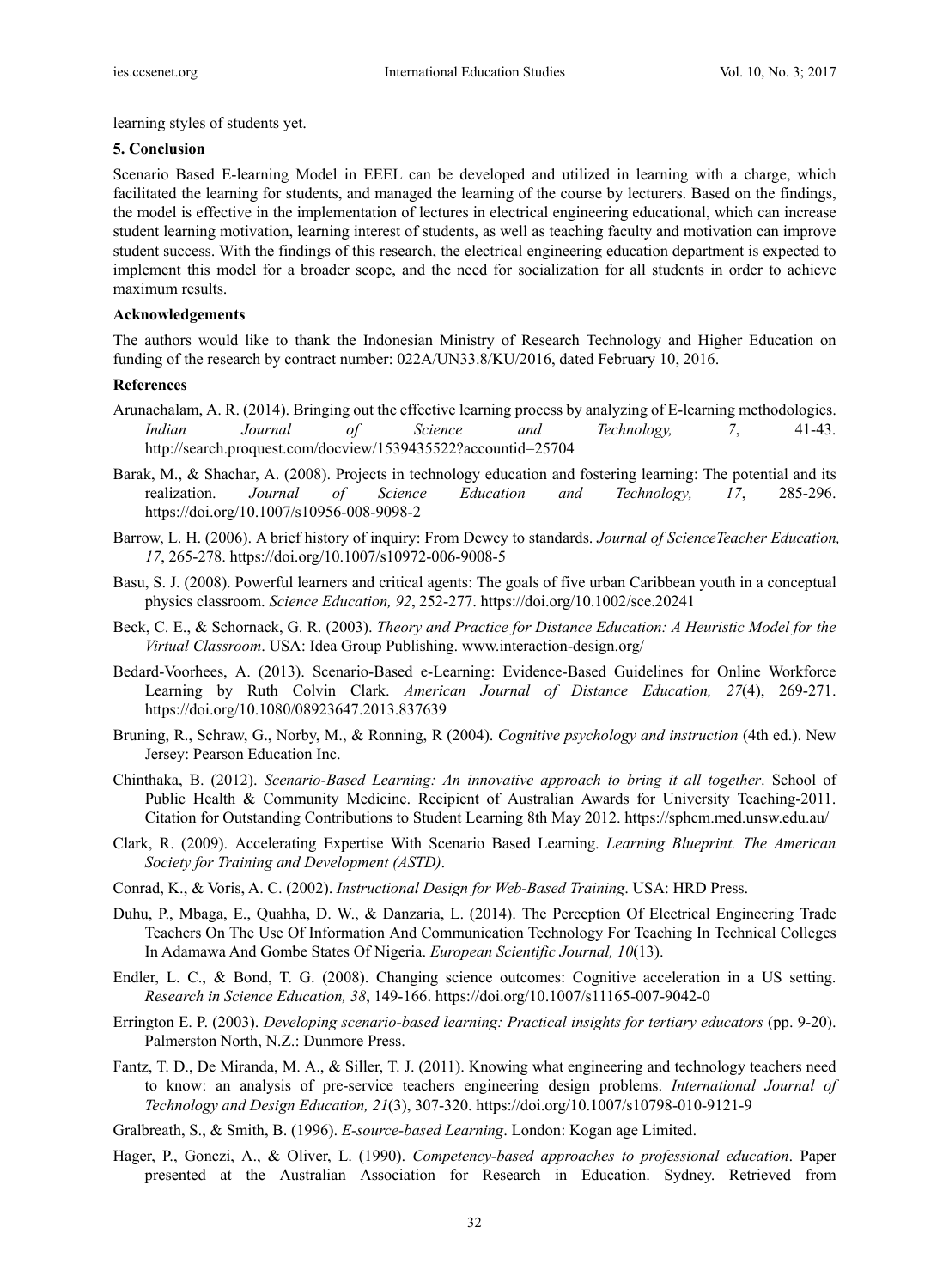learning styles of students yet.

### **5. Conclusion**

Scenario Based E-learning Model in EEEL can be developed and utilized in learning with a charge, which facilitated the learning for students, and managed the learning of the course by lecturers. Based on the findings, the model is effective in the implementation of lectures in electrical engineering educational, which can increase student learning motivation, learning interest of students, as well as teaching faculty and motivation can improve student success. With the findings of this research, the electrical engineering education department is expected to implement this model for a broader scope, and the need for socialization for all students in order to achieve maximum results.

#### **Acknowledgements**

The authors would like to thank the Indonesian Ministry of Research Technology and Higher Education on funding of the research by contract number: 022A/UN33.8/KU/2016, dated February 10, 2016.

#### **References**

- Arunachalam, A. R. (2014). Bringing out the effective learning process by analyzing of E-learning methodologies. *Indian Journal of Science and Technology, 7*, 41-43. http://search.proquest.com/docview/1539435522?accountid=25704
- Barak, M., & Shachar, A. (2008). Projects in technology education and fostering learning: The potential and its realization. *Journal of Science Education and Technology, 17*, 285-296. https://doi.org/10.1007/s10956-008-9098-2
- Barrow, L. H. (2006). A brief history of inquiry: From Dewey to standards. *Journal of ScienceTeacher Education, 17*, 265-278. https://doi.org/10.1007/s10972-006-9008-5
- Basu, S. J. (2008). Powerful learners and critical agents: The goals of five urban Caribbean youth in a conceptual physics classroom. *Science Education, 92*, 252-277. https://doi.org/10.1002/sce.20241
- Beck, C. E., & Schornack, G. R. (2003). *Theory and Practice for Distance Education: A Heuristic Model for the Virtual Classroom*. USA: Idea Group Publishing. www.interaction-design.org/
- Bedard-Voorhees, A. (2013). Scenario-Based e-Learning: Evidence-Based Guidelines for Online Workforce Learning by Ruth Colvin Clark. *American Journal of Distance Education, 27*(4), 269-271. https://doi.org/10.1080/08923647.2013.837639
- Bruning, R., Schraw, G., Norby, M., & Ronning, R (2004). *Cognitive psychology and instruction* (4th ed.). New Jersey: Pearson Education Inc.
- Chinthaka, B. (2012). *Scenario-Based Learning: An innovative approach to bring it all together*. School of Public Health & Community Medicine. Recipient of Australian Awards for University Teaching-2011. Citation for Outstanding Contributions to Student Learning 8th May 2012. https://sphcm.med.unsw.edu.au/
- Clark, R. (2009). Accelerating Expertise With Scenario Based Learning. *Learning Blueprint. The American Society for Training and Development (ASTD)*.
- Conrad, K., & Voris, A. C. (2002). *Instructional Design for Web-Based Training*. USA: HRD Press.
- Duhu, P., Mbaga, E., Quahha, D. W., & Danzaria, L. (2014). The Perception Of Electrical Engineering Trade Teachers On The Use Of Information And Communication Technology For Teaching In Technical Colleges In Adamawa And Gombe States Of Nigeria. *European Scientific Journal, 10*(13).
- Endler, L. C., & Bond, T. G. (2008). Changing science outcomes: Cognitive acceleration in a US setting. *Research in Science Education, 38*, 149-166. https://doi.org/10.1007/s11165-007-9042-0
- Errington E. P. (2003). *Developing scenario-based learning: Practical insights for tertiary educators* (pp. 9-20). Palmerston North, N.Z.: Dunmore Press.
- Fantz, T. D., De Miranda, M. A., & Siller, T. J. (2011). Knowing what engineering and technology teachers need to know: an analysis of pre-service teachers engineering design problems. *International Journal of Technology and Design Education, 21*(3), 307-320. https://doi.org/10.1007/s10798-010-9121-9
- Gralbreath, S., & Smith, B. (1996). *E-source-based Learning*. London: Kogan age Limited.
- Hager, P., Gonczi, A., & Oliver, L. (1990). *Competency-based approaches to professional education*. Paper presented at the Australian Association for Research in Education. Sydney. Retrieved from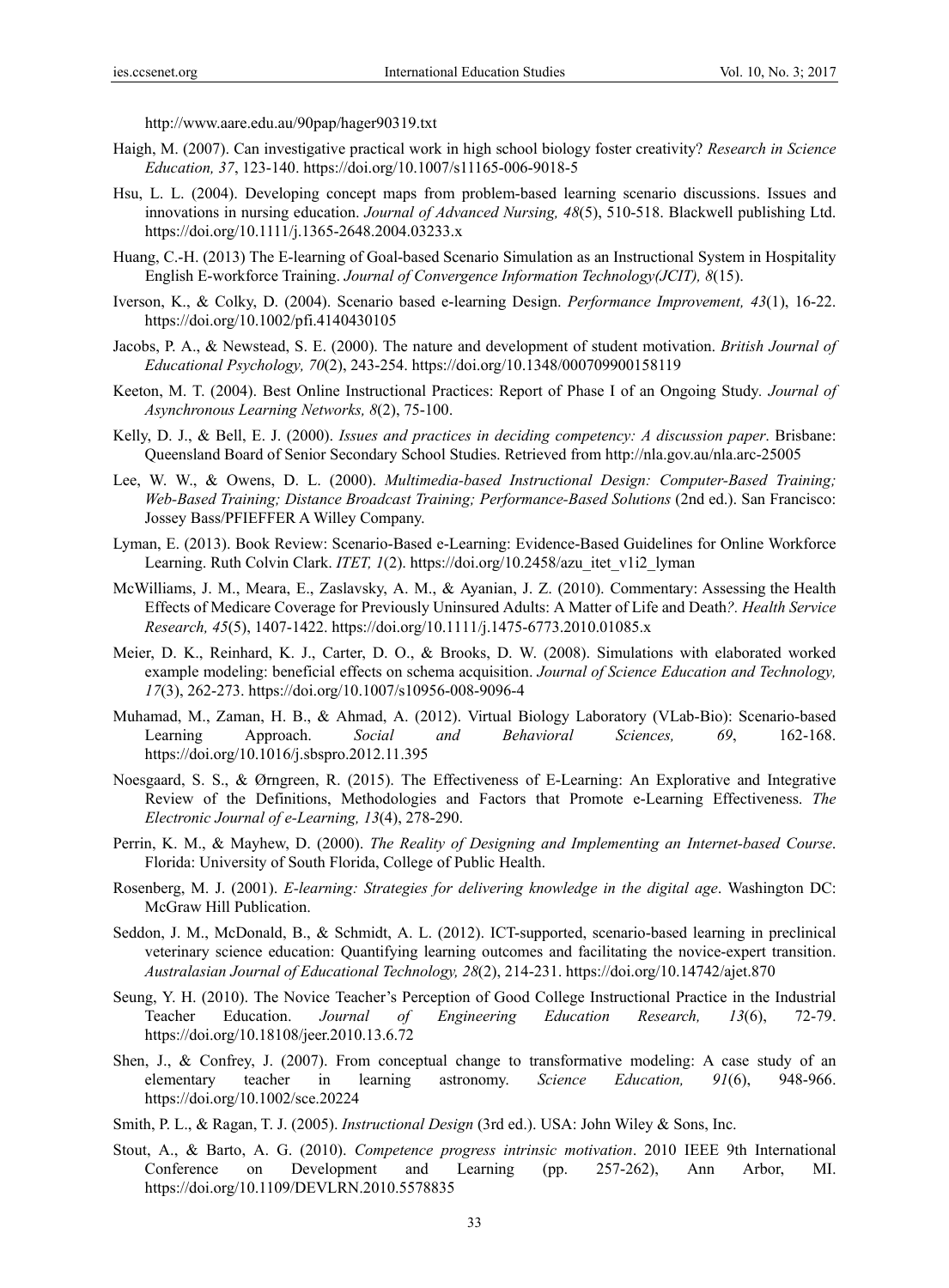http://www.aare.edu.au/90pap/hager90319.txt

- Haigh, M. (2007). Can investigative practical work in high school biology foster creativity? *Research in Science Education, 37*, 123-140. https://doi.org/10.1007/s11165-006-9018-5
- Hsu, L. L. (2004). Developing concept maps from problem-based learning scenario discussions. Issues and innovations in nursing education. *Journal of Advanced Nursing, 48*(5), 510-518. Blackwell publishing Ltd. https://doi.org/10.1111/j.1365-2648.2004.03233.x
- Huang, C.-H. (2013) The E-learning of Goal-based Scenario Simulation as an Instructional System in Hospitality English E-workforce Training. *Journal of Convergence Information Technology(JCIT), 8*(15).
- Iverson, K., & Colky, D. (2004). Scenario based e-learning Design. *Performance Improvement, 43*(1), 16-22. https://doi.org/10.1002/pfi.4140430105
- Jacobs, P. A., & Newstead, S. E. (2000). The nature and development of student motivation. *British Journal of Educational Psychology, 70*(2), 243-254. https://doi.org/10.1348/000709900158119
- Keeton, M. T. (2004). Best Online Instructional Practices: Report of Phase I of an Ongoing Study*. Journal of Asynchronous Learning Networks, 8*(2), 75-100.
- Kelly, D. J., & Bell, E. J. (2000). *Issues and practices in deciding competency: A discussion paper*. Brisbane: Queensland Board of Senior Secondary School Studies. Retrieved from http://nla.gov.au/nla.arc-25005
- Lee, W. W., & Owens, D. L. (2000). *Multimedia-based Instructional Design: Computer-Based Training; Web-Based Training; Distance Broadcast Training; Performance-Based Solutions* (2nd ed.). San Francisco: Jossey Bass/PFIEFFER A Willey Company.
- Lyman, E. (2013). Book Review: Scenario-Based e-Learning: Evidence-Based Guidelines for Online Workforce Learning. Ruth Colvin Clark. *ITET*, 1(2). https://doi.org/10.2458/azu\_itet\_v1i2\_lyman
- McWilliams, J. M., Meara, E., Zaslavsky, A. M., & Ayanian, J. Z. (2010). Commentary: Assessing the Health Effects of Medicare Coverage for Previously Uninsured Adults: A Matter of Life and Death*?. Health Service Research, 45*(5), 1407-1422. https://doi.org/10.1111/j.1475-6773.2010.01085.x
- Meier, D. K., Reinhard, K. J., Carter, D. O., & Brooks, D. W. (2008). Simulations with elaborated worked example modeling: beneficial effects on schema acquisition. *Journal of Science Education and Technology, 17*(3), 262-273. https://doi.org/10.1007/s10956-008-9096-4
- Muhamad, M., Zaman, H. B., & Ahmad, A. (2012). Virtual Biology Laboratory (VLab-Bio): Scenario-based Learning Approach. *Social and Behavioral Sciences, 69*, 162-168. https://doi.org/10.1016/j.sbspro.2012.11.395
- Noesgaard, S. S., & Ørngreen, R. (2015). The Effectiveness of E-Learning: An Explorative and Integrative Review of the Definitions, Methodologies and Factors that Promote e-Learning Effectiveness. *The Electronic Journal of e-Learning, 13*(4), 278-290.
- Perrin, K. M., & Mayhew, D. (2000). *The Reality of Designing and Implementing an Internet-based Course*. Florida: University of South Florida, College of Public Health.
- Rosenberg, M. J. (2001). *E-learning: Strategies for delivering knowledge in the digital age*. Washington DC: McGraw Hill Publication.
- Seddon, J. M., McDonald, B., & Schmidt, A. L. (2012). ICT-supported, scenario-based learning in preclinical veterinary science education: Quantifying learning outcomes and facilitating the novice-expert transition. *Australasian Journal of Educational Technology, 28*(2), 214-231. https://doi.org/10.14742/ajet.870
- Seung, Y. H. (2010). The Novice Teacher's Perception of Good College Instructional Practice in the Industrial Teacher Education. *Journal of Engineering Education Research, 13*(6), 72-79. https://doi.org/10.18108/jeer.2010.13.6.72
- Shen, J., & Confrey, J. (2007). From conceptual change to transformative modeling: A case study of an elementary teacher in learning astronomy. *Science Education, 91*(6), 948-966. https://doi.org/10.1002/sce.20224
- Smith, P. L., & Ragan, T. J. (2005). *Instructional Design* (3rd ed.). USA: John Wiley & Sons, Inc.
- Stout, A., & Barto, A. G. (2010). *Competence progress intrinsic motivation*. 2010 IEEE 9th International Conference on Development and Learning (pp. 257-262), Ann Arbor, MI. https://doi.org/10.1109/DEVLRN.2010.5578835